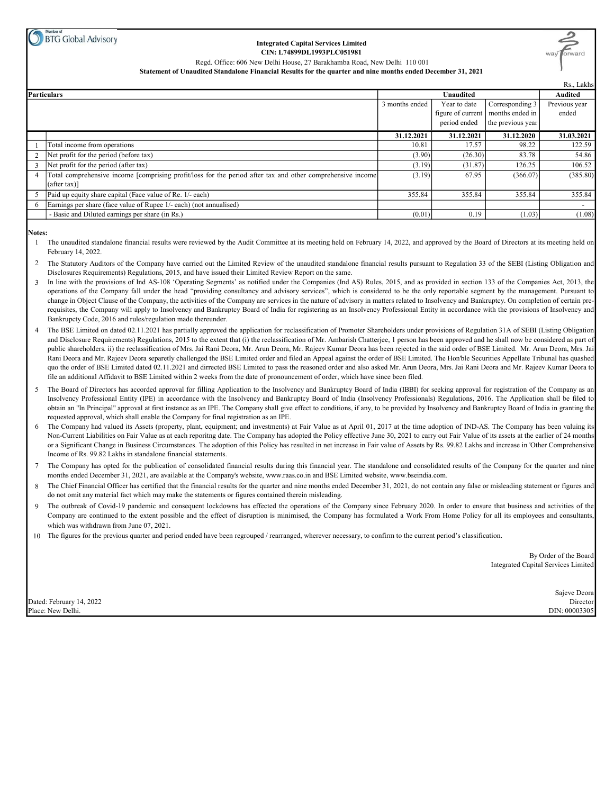Í

## Integrated Capital Services Limited CIN: L74899DL1993PLC051981

Regd. Office: 606 New Delhi House, 27 Barakhamba Road, New Delhi 110 001

Statement of Unaudited Standalone Financial Results for the quarter and nine months ended December 31, 2021

| Particulars<br>Unaudited<br><b>Audited</b><br>Previous year<br>Corresponding 3<br>3 months ended<br>Year to date<br>months ended in<br>figure of current<br>ended<br>period ended<br>the previous year<br>31.12.2021<br>31.12.2020<br>31.12.2021<br>31.03.2021<br>Total income from operations<br>10.81<br>17.57<br>98.22<br>122.59<br>Net profit for the period (before tax)<br>83.78<br>(3.90)<br>(26.30)<br>Net profit for the period (after tax)<br>(3.19)<br>126.25<br>(31.87)<br>Total comprehensive income [comprising profit/loss for the period after tax and other comprehensive income<br>(3.19)<br>67.95<br>(366.07)<br>$\overline{4}$<br>$\alpha$ fter tax)<br>Paid up equity share capital (Face value of Re. 1/- each)<br>355.84<br>355.84<br>355.84<br>Earnings per share (face value of Rupee 1/- each) (not annualised)<br>- Basic and Diluted earnings per share (in Rs.)<br>0.19<br>(1.03)<br>(0.01) |  |  |  |  |  | Rs., Lakhs |
|--------------------------------------------------------------------------------------------------------------------------------------------------------------------------------------------------------------------------------------------------------------------------------------------------------------------------------------------------------------------------------------------------------------------------------------------------------------------------------------------------------------------------------------------------------------------------------------------------------------------------------------------------------------------------------------------------------------------------------------------------------------------------------------------------------------------------------------------------------------------------------------------------------------------------|--|--|--|--|--|------------|
|                                                                                                                                                                                                                                                                                                                                                                                                                                                                                                                                                                                                                                                                                                                                                                                                                                                                                                                          |  |  |  |  |  |            |
|                                                                                                                                                                                                                                                                                                                                                                                                                                                                                                                                                                                                                                                                                                                                                                                                                                                                                                                          |  |  |  |  |  |            |
|                                                                                                                                                                                                                                                                                                                                                                                                                                                                                                                                                                                                                                                                                                                                                                                                                                                                                                                          |  |  |  |  |  |            |
|                                                                                                                                                                                                                                                                                                                                                                                                                                                                                                                                                                                                                                                                                                                                                                                                                                                                                                                          |  |  |  |  |  |            |
|                                                                                                                                                                                                                                                                                                                                                                                                                                                                                                                                                                                                                                                                                                                                                                                                                                                                                                                          |  |  |  |  |  |            |
|                                                                                                                                                                                                                                                                                                                                                                                                                                                                                                                                                                                                                                                                                                                                                                                                                                                                                                                          |  |  |  |  |  |            |
|                                                                                                                                                                                                                                                                                                                                                                                                                                                                                                                                                                                                                                                                                                                                                                                                                                                                                                                          |  |  |  |  |  | 54.86      |
|                                                                                                                                                                                                                                                                                                                                                                                                                                                                                                                                                                                                                                                                                                                                                                                                                                                                                                                          |  |  |  |  |  | 106.52     |
|                                                                                                                                                                                                                                                                                                                                                                                                                                                                                                                                                                                                                                                                                                                                                                                                                                                                                                                          |  |  |  |  |  | (385.80)   |
|                                                                                                                                                                                                                                                                                                                                                                                                                                                                                                                                                                                                                                                                                                                                                                                                                                                                                                                          |  |  |  |  |  |            |
|                                                                                                                                                                                                                                                                                                                                                                                                                                                                                                                                                                                                                                                                                                                                                                                                                                                                                                                          |  |  |  |  |  | 355.84     |
|                                                                                                                                                                                                                                                                                                                                                                                                                                                                                                                                                                                                                                                                                                                                                                                                                                                                                                                          |  |  |  |  |  |            |
|                                                                                                                                                                                                                                                                                                                                                                                                                                                                                                                                                                                                                                                                                                                                                                                                                                                                                                                          |  |  |  |  |  | (1.08)     |

Notes:

- 1 The unaudited standalone financial results were reviewed by the Audit Committee at its meeting held on February 14, 2022, and approved by the Board of Directors at its meeting held on February 14, 2022.
- $\overline{2}$ The Statutory Auditors of the Company have carried out the Limited Review of the unaudited standalone financial results pursuant to Regulation 33 of the SEBI (Listing Obligation and Disclosures Requirements) Regulations, 2015, and have issued their Limited Review Report on the same.
- 3 In line with the provisions of Ind AS-108 'Operating Segments' as notified under the Companies (Ind AS) Rules, 2015, and as provided in section 133 of the Companies Act, 2013, the operations of the Company fall under the head "providing consultancy and advisory services", which is considered to be the only reportable segment by the management. Pursuant to change in Object Clause of the Company, the activities of the Company are services in the nature of advisory in matters related to Insolvency and Bankruptcy. On completion of certain prerequisites, the Company will apply to Insolvency and Bankruptcy Board of India for registering as an Insolvency Professional Entity in accordance with the provisions of Insolvency and Bankrupcty Code, 2016 and rules/regulation made thereunder.
- 4 The BSE Limited on dated 02.11.2021 has partially approved the application for reclassification of Promoter Shareholders under provisions of Regulation 31A of SEBI (Listing Obligation and Disclosure Requirements) Regulations, 2015 to the extent that (i) the reclassification of Mr. Ambarish Chatterjee, 1 person has been approved and he shall now be considered as part of public shareholders. ii) the reclassification of Mrs. Jai Rani Deora, Mr. Arun Deora, Mr. Rajeev Kumar Deora has been rejected in the said order of BSE Limited. Mr. Arun Deora, Mrs. Jai Rani Deora and Mr. Rajeev Deora separetly challenged the BSE Limited order and filed an Appeal against the order of BSE Limited. The Hon'ble Securities Appellate Tribunal has quashed quo the order of BSE Limited dated 02.11.2021 and dirrected BSE Limited to pass the reasoned order and also asked Mr. Arun Deora, Mrs. Jai Rani Deora and Mr. Rajeev Kumar Deora to file an additional Affidavit to BSE Limited within 2 weeks from the date of pronouncement of order, which have since been filed.
- 5 The Board of Directors has accorded approval for filling Application to the Insolvency and Bankruptcy Board of India (IBBI) for seeking approval for registration of the Company as an Insolvency Professional Entity (IPE) in accordance with the Insolvency and Bankruptcy Board of India (Insolvency Professionals) Regulations, 2016. The Application shall be filed to obtain an "In Principal" approval at first instance as an IPE. The Company shall give effect to conditions, if any, to be provided by Insolvency and Bankruptcy Board of India in granting the requested approval, which shall enable the Company for final registration as an IPE.
- 6 The Company had valued its Assets (property, plant, equipment; and investments) at Fair Value as at April 01, 2017 at the time adoption of IND-AS. The Company has been valuing its Non-Current Liabilities on Fair Value as at each reporitng date. The Company has adopted the Policy effective June 30, 2021 to carry out Fair Value of its assets at the earlier of 24 months or a Significant Change in Business Circumstances. The adoption of this Policy has resulted in net increase in Fair value of Assets by Rs. 99.82 Lakhs and increase in 'Other Comprehensive Income of Rs. 99.82 Lakhs in standalone financial statements.
- 7 The Company has opted for the publication of consolidated financial results during this financial year. The standalone and consolidated results of the Company for the quarter and nine months ended December 31, 2021, are available at the Company's website, www.raas.co.in and BSE Limited website, www.bseindia.com.
- 8 The Chief Financial Officer has certified that the financial results for the quarter and nine months ended December 31, 2021, do not contain any false or misleading statement or figures and do not omit any material fact which may make the statements or figures contained therein misleading.
- 9 The outbreak of Covid-19 pandemic and consequent lockdowns has effected the operations of the Company since February 2020. In order to ensure that business and activities of the Company are continued to the extent possible and the effect of disruption is minimised, the Company has formulated a Work From Home Policy for all its employees and consultants, which was withdrawn from June 07, 2021.
- 10 The figures for the previous quarter and period ended have been regrouped / rearranged, wherever necessary, to confirm to the current period's classification.

By Order of the Board Integrated Capital Services Limited

Dated: February 14, 2022 Director Place: New Delhi. DIN: 00003305

Sajeve Deora